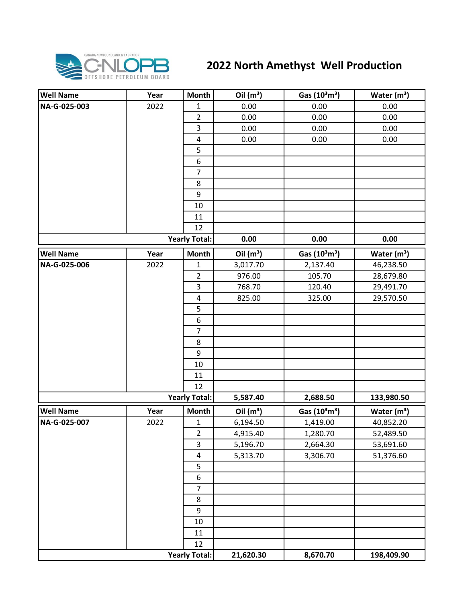

## **2022 North Amethyst Well Production**

| <b>Well Name</b>     | Year | <b>Month</b>             | Oil $(m^3)$ | Gas (10 <sup>3</sup> m <sup>3</sup> ) | Water $(m^3)$ |
|----------------------|------|--------------------------|-------------|---------------------------------------|---------------|
| NA-G-025-003         | 2022 | $\mathbf{1}$             | 0.00        | 0.00                                  | 0.00          |
|                      |      | $\overline{2}$           | 0.00        | 0.00                                  | 0.00          |
|                      |      | 3                        | 0.00        | 0.00                                  | 0.00          |
|                      |      | $\pmb{4}$                | 0.00        | 0.00                                  | 0.00          |
|                      |      | 5                        |             |                                       |               |
|                      |      | 6                        |             |                                       |               |
|                      |      | $\overline{7}$           |             |                                       |               |
|                      |      | 8                        |             |                                       |               |
|                      |      | 9                        |             |                                       |               |
|                      |      | 10                       |             |                                       |               |
|                      |      | 11                       |             |                                       |               |
|                      |      | 12                       |             |                                       |               |
|                      |      | <b>Yearly Total:</b>     | 0.00        | 0.00                                  | 0.00          |
| <b>Well Name</b>     | Year | <b>Month</b>             | Oil $(m^3)$ | Gas (10 <sup>3</sup> m <sup>3</sup> ) | Water $(m^3)$ |
| NA-G-025-006         | 2022 | 1                        | 3,017.70    | 2,137.40                              | 46,238.50     |
|                      |      | $\overline{2}$           | 976.00      | 105.70                                | 28,679.80     |
|                      |      | 3                        | 768.70      | 120.40                                | 29,491.70     |
|                      |      | $\overline{\mathcal{A}}$ | 825.00      | 325.00                                | 29,570.50     |
|                      |      | 5                        |             |                                       |               |
|                      |      | $\boldsymbol{6}$         |             |                                       |               |
|                      |      | $\overline{7}$           |             |                                       |               |
|                      |      | 8                        |             |                                       |               |
|                      |      | $\boldsymbol{9}$         |             |                                       |               |
|                      |      | 10                       |             |                                       |               |
|                      |      | 11                       |             |                                       |               |
|                      |      | 12                       |             |                                       |               |
| <b>Yearly Total:</b> |      |                          | 5,587.40    | 2,688.50                              | 133,980.50    |
| <b>Well Name</b>     | Year | <b>Month</b>             | Oil $(m^3)$ | Gas (10 <sup>3</sup> m <sup>3</sup> ) | Water $(m3)$  |
| NA-G-025-007         | 2022 | $\mathbf{1}$             | 6,194.50    | 1,419.00                              | 40,852.20     |
|                      |      | $\overline{2}$           | 4,915.40    | 1,280.70                              | 52,489.50     |
|                      |      | $\overline{3}$           | 5,196.70    | 2,664.30                              | 53,691.60     |
|                      |      | 4                        | 5,313.70    | 3,306.70                              | 51,376.60     |
|                      |      | 5                        |             |                                       |               |
|                      |      | $\boldsymbol{6}$         |             |                                       |               |
|                      |      | $\overline{7}$           |             |                                       |               |
|                      |      | $\bf 8$                  |             |                                       |               |
|                      |      | 9                        |             |                                       |               |
|                      |      | 10                       |             |                                       |               |
|                      |      | 11                       |             |                                       |               |
|                      |      | 12                       |             |                                       |               |
|                      |      | <b>Yearly Total:</b>     | 21,620.30   | 8,670.70                              | 198,409.90    |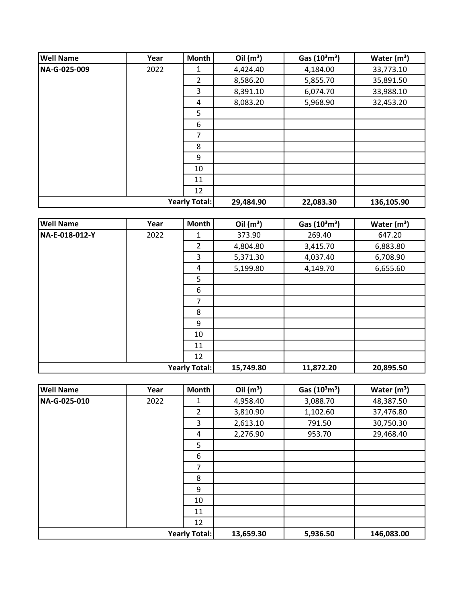| <b>Well Name</b>     | Year | Month          | Oil $(m^3)$ | Gas $(10^3 \text{m}^3)$ | Water $(m^3)$ |
|----------------------|------|----------------|-------------|-------------------------|---------------|
| NA-G-025-009         | 2022 | 1              | 4,424.40    | 4,184.00                | 33,773.10     |
|                      |      | $\overline{2}$ | 8,586.20    | 5,855.70                | 35,891.50     |
|                      |      | 3              | 8,391.10    | 6,074.70                | 33,988.10     |
|                      |      | 4              | 8,083.20    | 5,968.90                | 32,453.20     |
|                      |      | 5              |             |                         |               |
|                      |      | 6              |             |                         |               |
|                      |      | 7              |             |                         |               |
|                      |      | 8              |             |                         |               |
|                      |      | 9              |             |                         |               |
|                      |      | 10             |             |                         |               |
|                      |      | 11             |             |                         |               |
|                      |      | 12             |             |                         |               |
| <b>Yearly Total:</b> |      | 29,484.90      | 22,083.30   | 136,105.90              |               |

| <b>Well Name</b>     | Year | Month     | Oil $(m^3)$ | Gas $(10^3 \text{m}^3)$ | Water $(m^3)$ |
|----------------------|------|-----------|-------------|-------------------------|---------------|
| NA-E-018-012-Y       | 2022 | 1         | 373.90      | 269.40                  | 647.20        |
|                      |      | 2         | 4,804.80    | 3,415.70                | 6,883.80      |
|                      |      | 3         | 5,371.30    | 4,037.40                | 6,708.90      |
|                      |      | 4         | 5,199.80    | 4,149.70                | 6,655.60      |
|                      |      | 5         |             |                         |               |
|                      |      | 6         |             |                         |               |
|                      |      | 7         |             |                         |               |
|                      |      | 8         |             |                         |               |
|                      |      | 9         |             |                         |               |
|                      |      | 10        |             |                         |               |
|                      |      | 11        |             |                         |               |
|                      |      | 12        |             |                         |               |
| <b>Yearly Total:</b> |      | 15,749.80 | 11,872.20   | 20,895.50               |               |

| <b>Well Name</b>     | Year | Month          | Oil $(m^3)$ | Gas $(10^3 \text{m}^3)$ | Water $(m3)$ |
|----------------------|------|----------------|-------------|-------------------------|--------------|
| NA-G-025-010         | 2022 | 1              | 4,958.40    | 3,088.70                | 48,387.50    |
|                      |      | $\overline{2}$ | 3,810.90    | 1,102.60                | 37,476.80    |
|                      |      | 3              | 2,613.10    | 791.50                  | 30,750.30    |
|                      |      | 4              | 2,276.90    | 953.70                  | 29,468.40    |
|                      |      | 5              |             |                         |              |
|                      |      | 6              |             |                         |              |
|                      |      | 7              |             |                         |              |
|                      |      | 8              |             |                         |              |
|                      |      | 9              |             |                         |              |
|                      |      | 10             |             |                         |              |
|                      |      | 11             |             |                         |              |
|                      |      | 12             |             |                         |              |
| <b>Yearly Total:</b> |      |                | 13,659.30   | 5,936.50                | 146,083.00   |